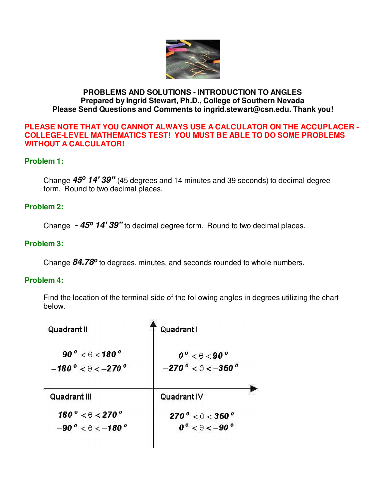

### **PROBLEMS AND SOLUTIONS - INTRODUCTION TO ANGLES Prepared by Ingrid Stewart, Ph.D., College of Southern Nevada Please Send Questions and Comments to ingrid.stewart@csn.edu. Thank you!**

#### **PLEASE NOTE THAT YOU CANNOT ALWAYS USE A CALCULATOR ON THE ACCUPLACER - COLLEGE-LEVEL MATHEMATICS TEST! YOU MUST BE ABLE TO DO SOME PROBLEMS WITHOUT A CALCULATOR!**

### **Problem 1:**

Change **45<sup>o</sup> 14' 39"** (45 degrees and 14 minutes and 39 seconds) to decimal degree form. Round to two decimal places.

#### **Problem 2:**

Change **- 45<sup>o</sup> 14' 39"** to decimal degree form. Round to two decimal places.

### **Problem 3:**

Change 84.78<sup>o</sup> to degrees, minutes, and seconds rounded to whole numbers.

#### **Problem 4:**

Find the location of the terminal side of the following angles in degrees utilizing the chart below.

| Quadrant I                                                                       |
|----------------------------------------------------------------------------------|
| $0^{\circ}$ < $\theta$ < 90 $^{\circ}$<br>$-270^{\circ} < \theta < -360^{\circ}$ |
| Quadrant IV                                                                      |
| $270^{\circ} < \theta < 360^{\circ}$<br>$0^{\circ}$ < $\theta$ < -90 $^{\circ}$  |
|                                                                                  |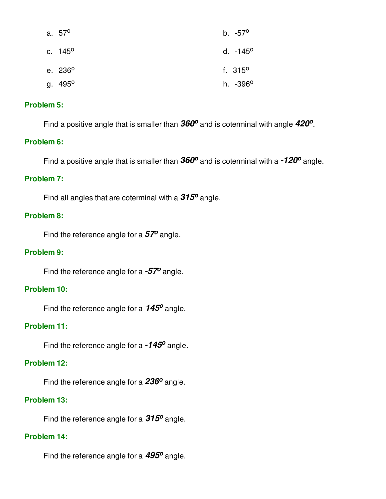| a. 57 <sup>o</sup>  | b. -57 <sup>o</sup>  |
|---------------------|----------------------|
| c. 145 <sup>o</sup> | d. $-145^{\circ}$    |
| e. 236 <sup>o</sup> | f. $315^{\circ}$     |
| g. 495 <sup>o</sup> | h. -396 <sup>o</sup> |

### **Problem 5:**

Find a positive angle that is smaller than  $360^{\circ}$  and is coterminal with angle  $420^{\circ}$ .

#### **Problem 6:**

Find a positive angle that is smaller than  $360^{\circ}$  and is coterminal with a  $\text{-}120^{\circ}$  angle.

### **Problem 7:**

Find all angles that are coterminal with a  $315^{\circ}$  angle.

### **Problem 8:**

Find the reference angle for a **57<sup>o</sup>** angle.

#### **Problem 9:**

Find the reference angle for a **-57<sup>o</sup>** angle.

#### **Problem 10:**

Find the reference angle for a **145<sup>o</sup>** angle.

### **Problem 11:**

Find the reference angle for a **-145<sup>o</sup>** angle.

#### **Problem 12:**

Find the reference angle for a **236<sup>o</sup>** angle.

### **Problem 13:**

Find the reference angle for a **315<sup>o</sup>** angle.

### **Problem 14:**

Find the reference angle for a **495<sup>o</sup>** angle.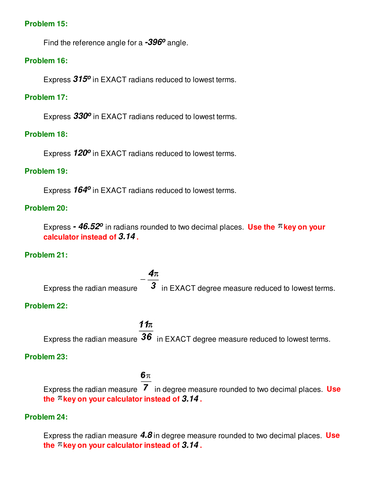#### **Problem 15:**

Find the reference angle for a **-396<sup>o</sup>** angle.

### **Problem 16:**

Express **315<sup>o</sup>** in EXACT radians reduced to lowest terms.

### **Problem 17:**

Express **330<sup>o</sup>** in EXACT radians reduced to lowest terms.

### **Problem 18:**

Express **120<sup>o</sup>** in EXACT radians reduced to lowest terms.

### **Problem 19:**

Express **164<sup>o</sup>** in EXACT radians reduced to lowest terms.

### **Problem 20:**

Express **- 46.52<sup>o</sup> in radians rounded to two decimal places. Use the <sup>** $\pi$ **</sup> key on your calculator instead of 3.14 .**

### **Problem 21:**

 $4\pi$ Express the radian measure  $\overline{3}$  in EXACT degree measure reduced to lowest terms.

### **Problem 22:**

 $11<sub>\pi</sub>$ Express the radian measure  $36$  in EXACT degree measure reduced to lowest terms.

### **Problem 23:**

# 6π

Express the radian measure 7 in degree measure rounded to two decimal places. Use the  $\pi$  key on your calculator instead of  $3.14$ .

### **Problem 24:**

Express the radian measure **4.8** in degree measure rounded to two decimal places. **Use**  the  $\pi$  key on your calculator instead of  $3.14$ .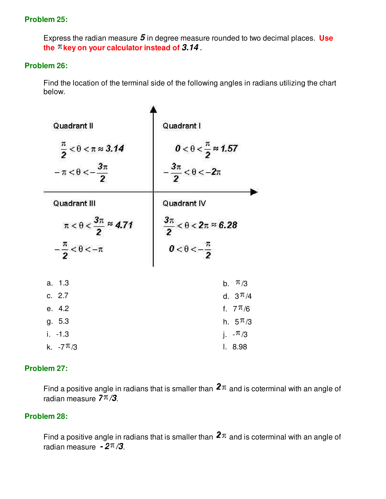### **Problem 25:**

Express the radian measure **5** in degree measure rounded to two decimal places. **Use**  the  $\pi$  key on your calculator instead of  $3.14$ .

### **Problem 26:**

Find the location of the terminal side of the following angles in radians utilizing the chart below.

| Quadrant II<br>$\frac{\pi}{2}$ < $\theta$ < $\pi \approx 3.14$<br>$-\pi < \theta < -\frac{3\pi}{2}$ | Quadrant I<br>$0 < \theta < \frac{\pi}{2} \approx 1.57$<br>$-\frac{3\pi}{2} < \theta < -2\pi$ |  |
|-----------------------------------------------------------------------------------------------------|-----------------------------------------------------------------------------------------------|--|
| Quadrant III                                                                                        | Quadrant IV                                                                                   |  |
| $\pi < \theta < \frac{3\pi}{2} \approx 4.71$<br>$-\frac{\pi}{2} < \theta < -\pi$                    | $\frac{3\pi}{2} < \theta < 2\pi \approx 6.28$<br>$0 < \theta < -\frac{\pi}{2}$                |  |
| a. 1.3                                                                                              | b. $\pi/3$                                                                                    |  |
| c. 2.7                                                                                              | d. $3 \pi / 4$                                                                                |  |
| e. 4.2                                                                                              | f. $7 \pi/6$                                                                                  |  |
| g. 5.3                                                                                              | h. $5 \pi/3$                                                                                  |  |
| $i. -1.3$                                                                                           | i. $\pi/3$                                                                                    |  |
| k. $-7 \pi/3$                                                                                       | 1.8.98                                                                                        |  |

### **Problem 27:**

Find a positive angle in radians that is smaller than  $2\pi$  and is coterminal with an angle of radian measure  $7\pi/3$ .

### **Problem 28:**

Find a positive angle in radians that is smaller than  $2\pi$  and is coterminal with an angle of radian measure  $-2\pi/3$ .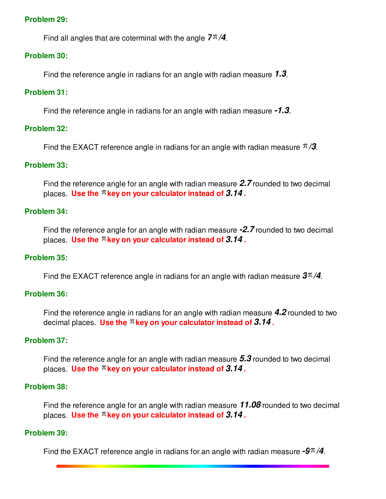#### **Problem 29:**

Find all angles that are coterminal with the angle  $7\pi/4$ .

#### **Problem 30:**

Find the reference angle in radians for an angle with radian measure **1.3**.

#### **Problem 31:**

Find the reference angle in radians for an angle with radian measure **-1.3**.

### **Problem 32:**

Find the EXACT reference angle in radians for an angle with radian measure  $\frac{\pi}{3}$ .

#### **Problem 33:**

Find the reference angle for an angle with radian measure **2.7** rounded to two decimal places. **Use the key on your calculator instead of 3.14 .**

#### **Problem 34:**

Find the reference angle for an angle with radian measure **-2.7** rounded to two decimal places. Use the  $\pi$  key on your calculator instead of  $3.14$ .

#### **Problem 35:**

Find the EXACT reference angle in radians for an angle with radian measure  $3\pi/4$ .

#### **Problem 36:**

Find the reference angle in radians for an angle with radian measure **4.2** rounded to two decimal places. **Use the key on your calculator instead of 3.14 .**

### **Problem 37:**

Find the reference angle for an angle with radian measure **5.3** rounded to two decimal places. **Use the key on your calculator instead of 3.14 .**

#### **Problem 38:**

Find the reference angle for an angle with radian measure **11.08** rounded to two decimal places. Use the  $\pi$  key on your calculator instead of  $3.14$ .

#### **Problem 39:**

Find the EXACT reference angle in radians for an angle with radian measure  $-9\pi/4$ .